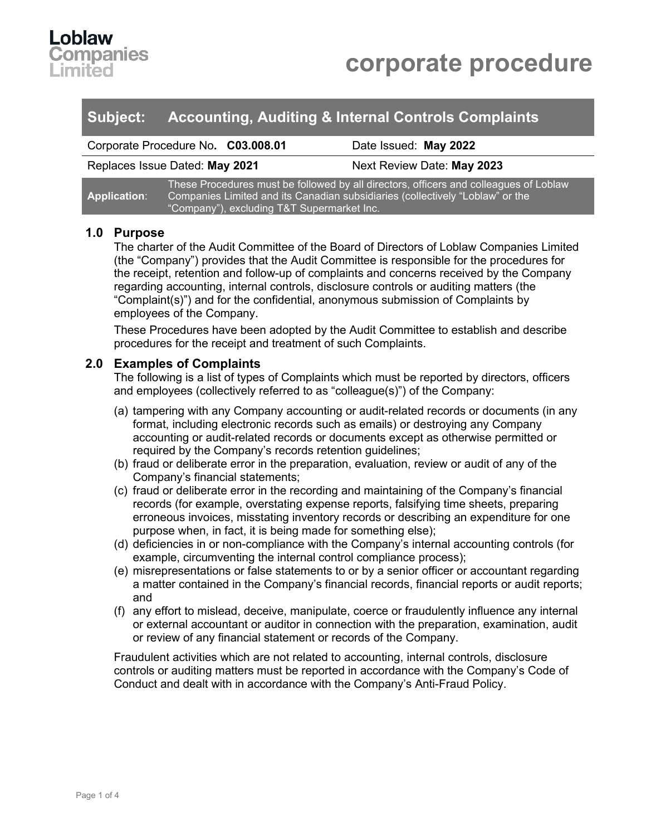

| Subject: | <b>Accounting, Auditing &amp; Internal Controls Complaints</b> |  |  |
|----------|----------------------------------------------------------------|--|--|
|----------|----------------------------------------------------------------|--|--|

Corporate Procedure No**. C03.008.01** Date Issued: **May 2022**

Replaces Issue Dated: **May 2021** Next Review Date: **May 2023**

|                     | ] These Procedures must be followed by all directors, officers and colleagues of Loblaw $^\prime$ |
|---------------------|---------------------------------------------------------------------------------------------------|
| <b>Application:</b> | <u>l Companies Limited and its Canadian subsidiaries (collectively "Loblaw" or the 1</u>          |
|                     | "Company"), excluding T&T Supermarket Inc.                                                        |

## **1.0 Purpose**

The charter of the Audit Committee of the Board of Directors of Loblaw Companies Limited (the "Company") provides that the Audit Committee is responsible for the procedures for the receipt, retention and follow-up of complaints and concerns received by the Company regarding accounting, internal controls, disclosure controls or auditing matters (the "Complaint(s)") and for the confidential, anonymous submission of Complaints by employees of the Company.

These Procedures have been adopted by the Audit Committee to establish and describe procedures for the receipt and treatment of such Complaints.

## **2.0 Examples of Complaints**

The following is a list of types of Complaints which must be reported by directors, officers and employees (collectively referred to as "colleague(s)") of the Company:

- (a) tampering with any Company accounting or audit-related records or documents (in any format, including electronic records such as emails) or destroying any Company accounting or audit-related records or documents except as otherwise permitted or required by the Company's records retention guidelines;
- (b) fraud or deliberate error in the preparation, evaluation, review or audit of any of the Company's financial statements;
- (c) fraud or deliberate error in the recording and maintaining of the Company's financial records (for example, overstating expense reports, falsifying time sheets, preparing erroneous invoices, misstating inventory records or describing an expenditure for one purpose when, in fact, it is being made for something else);
- (d) deficiencies in or non-compliance with the Company's internal accounting controls (for example, circumventing the internal control compliance process);
- (e) misrepresentations or false statements to or by a senior officer or accountant regarding a matter contained in the Company's financial records, financial reports or audit reports; and
- (f) any effort to mislead, deceive, manipulate, coerce or fraudulently influence any internal or external accountant or auditor in connection with the preparation, examination, audit or review of any financial statement or records of the Company.

Fraudulent activities which are not related to accounting, internal controls, disclosure controls or auditing matters must be reported in accordance with the Company's Code of Conduct and dealt with in accordance with the Company's Anti-Fraud Policy.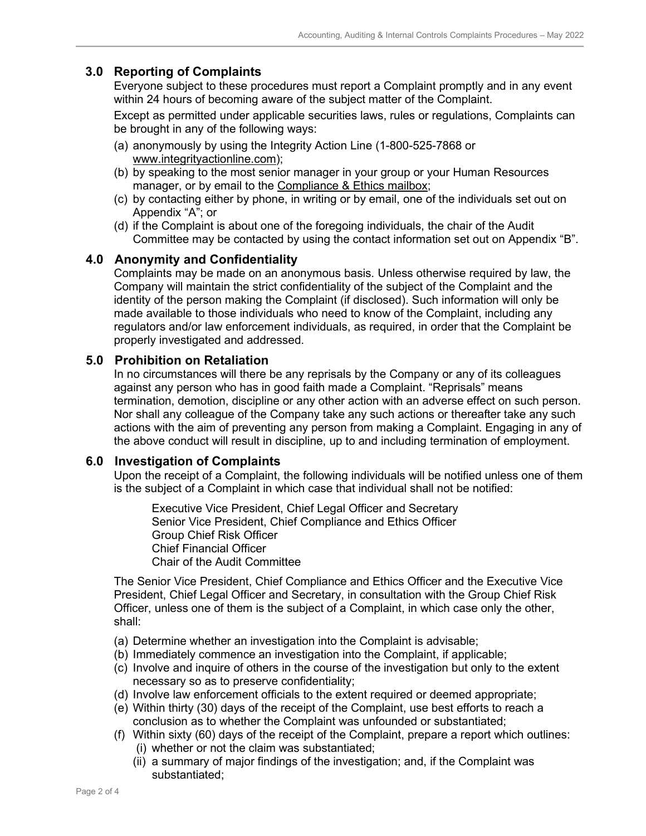## **3.0 Reporting of Complaints**

Everyone subject to these procedures must report a Complaint promptly and in any event within 24 hours of becoming aware of the subject matter of the Complaint.

Except as permitted under applicable securities laws, rules or regulations, Complaints can be brought in any of the following ways:

- (a) anonymously by using the Integrity Action Line (1-800-525-7868 or [www.integrityactionline.com\)](http://www.integrityactionline.com/);
- (b) by speaking to the most senior manager in your group or your Human Resources manager, or by email to the [Compliance & Ethics mailbox;](mailto:complianceandethics@loblaw.ca)
- (c) by contacting either by phone, in writing or by email, one of the individuals set out on Appendix "A"; or
- (d) if the Complaint is about one of the foregoing individuals, the chair of the Audit Committee may be contacted by using the contact information set out on Appendix "B".

## **4.0 Anonymity and Confidentiality**

Complaints may be made on an anonymous basis. Unless otherwise required by law, the Company will maintain the strict confidentiality of the subject of the Complaint and the identity of the person making the Complaint (if disclosed). Such information will only be made available to those individuals who need to know of the Complaint, including any regulators and/or law enforcement individuals, as required, in order that the Complaint be properly investigated and addressed.

## **5.0 Prohibition on Retaliation**

In no circumstances will there be any reprisals by the Company or any of its colleagues against any person who has in good faith made a Complaint. "Reprisals" means termination, demotion, discipline or any other action with an adverse effect on such person. Nor shall any colleague of the Company take any such actions or thereafter take any such actions with the aim of preventing any person from making a Complaint. Engaging in any of the above conduct will result in discipline, up to and including termination of employment.

## **6.0 Investigation of Complaints**

Upon the receipt of a Complaint, the following individuals will be notified unless one of them is the subject of a Complaint in which case that individual shall not be notified:

Executive Vice President, Chief Legal Officer and Secretary Senior Vice President, Chief Compliance and Ethics Officer Group Chief Risk Officer Chief Financial Officer Chair of the Audit Committee

The Senior Vice President, Chief Compliance and Ethics Officer and the Executive Vice President, Chief Legal Officer and Secretary, in consultation with the Group Chief Risk Officer, unless one of them is the subject of a Complaint, in which case only the other, shall:

- (a) Determine whether an investigation into the Complaint is advisable;
- (b) Immediately commence an investigation into the Complaint, if applicable;
- (c) Involve and inquire of others in the course of the investigation but only to the extent necessary so as to preserve confidentiality;
- (d) Involve law enforcement officials to the extent required or deemed appropriate;
- (e) Within thirty (30) days of the receipt of the Complaint, use best efforts to reach a conclusion as to whether the Complaint was unfounded or substantiated;
- (f) Within sixty (60) days of the receipt of the Complaint, prepare a report which outlines: (i) whether or not the claim was substantiated;
	- (ii) a summary of major findings of the investigation; and, if the Complaint was substantiated;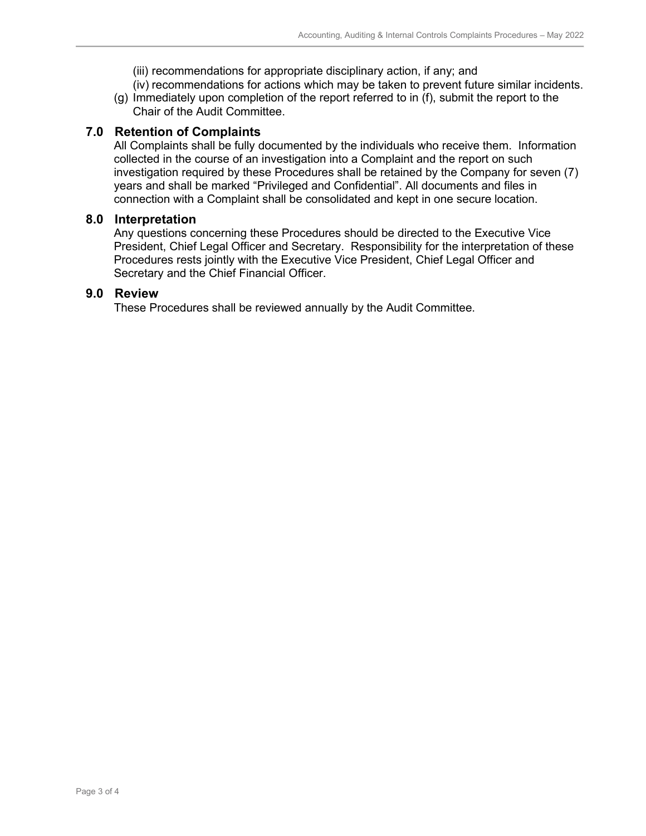(iii) recommendations for appropriate disciplinary action, if any; and

- (iv) recommendations for actions which may be taken to prevent future similar incidents.
- (g) Immediately upon completion of the report referred to in (f), submit the report to the Chair of the Audit Committee.

## **7.0 Retention of Complaints**

All Complaints shall be fully documented by the individuals who receive them. Information collected in the course of an investigation into a Complaint and the report on such investigation required by these Procedures shall be retained by the Company for seven (7) years and shall be marked "Privileged and Confidential". All documents and files in connection with a Complaint shall be consolidated and kept in one secure location.

#### **8.0 Interpretation**

Any questions concerning these Procedures should be directed to the Executive Vice President, Chief Legal Officer and Secretary. Responsibility for the interpretation of these Procedures rests jointly with the Executive Vice President, Chief Legal Officer and Secretary and the Chief Financial Officer.

#### **9.0 Review**

These Procedures shall be reviewed annually by the Audit Committee.